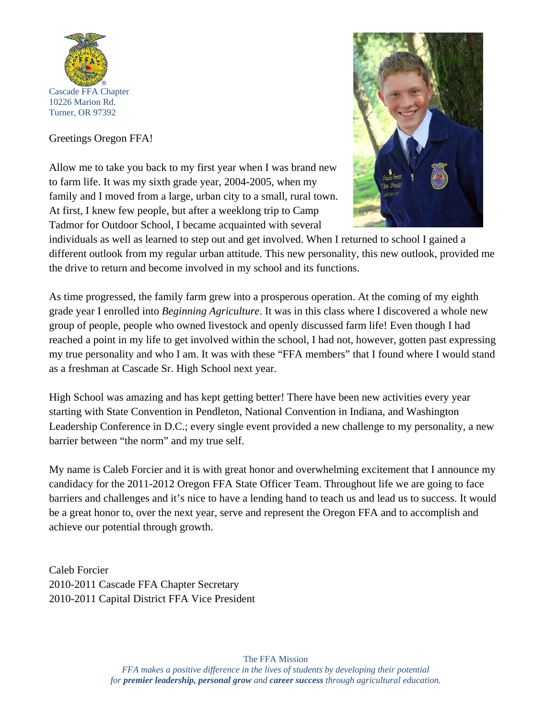

## Greetings Oregon FFA!

Allow me to take you back to my first year when I was brand new to farm life. It was my sixth grade year, 2004-2005, when my family and I moved from a large, urban city to a small, rural town. At first, I knew few people, but after a weeklong trip to Camp Tadmor for Outdoor School, I became acquainted with several



individuals as well as learned to step out and get involved. When I returned to school I gained a different outlook from my regular urban attitude. This new personality, this new outlook, provided me the drive to return and become involved in my school and its functions.

As time progressed, the family farm grew into a prosperous operation. At the coming of my eighth grade year I enrolled into *Beginning Agriculture*. It was in this class where I discovered a whole new group of people, people who owned livestock and openly discussed farm life! Even though I had reached a point in my life to get involved within the school, I had not, however, gotten past expressing my true personality and who I am. It was with these "FFA members" that I found where I would stand as a freshman at Cascade Sr. High School next year.

High School was amazing and has kept getting better! There have been new activities every year starting with State Convention in Pendleton, National Convention in Indiana, and Washington Leadership Conference in D.C.; every single event provided a new challenge to my personality, a new barrier between "the norm" and my true self.

My name is Caleb Forcier and it is with great honor and overwhelming excitement that I announce my candidacy for the 2011-2012 Oregon FFA State Officer Team. Throughout life we are going to face barriers and challenges and it's nice to have a lending hand to teach us and lead us to success. It would be a great honor to, over the next year, serve and represent the Oregon FFA and to accomplish and achieve our potential through growth.

Caleb Forcier 2010-2011 Cascade FFA Chapter Secretary 2010-2011 Capital District FFA Vice President